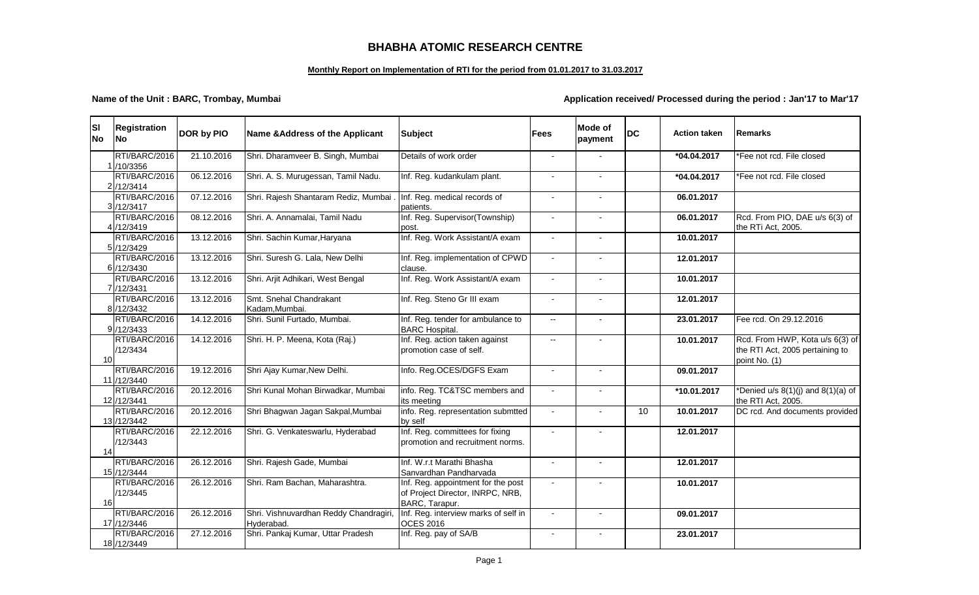## **BHABHA ATOMIC RESEARCH CENTRE**

## **Monthly Report on Implementation of RTI for the period from 01.01.2017 to 31.03.2017**

**Name of the Unit : BARC, Trombay, Mumbai Application received/ Processed during the period : Jan'17 to Mar'17** 

| <b>SI</b><br><b>No</b> | <b>Registration</b><br><b>No</b> | DOR by PIO | Name & Address of the Applicant                      | <b>Subject</b>                                                                           | <b>Fees</b>    | Mode of<br>payment       | <b>DC</b> | <b>Action taken</b> | Remarks                                                                             |
|------------------------|----------------------------------|------------|------------------------------------------------------|------------------------------------------------------------------------------------------|----------------|--------------------------|-----------|---------------------|-------------------------------------------------------------------------------------|
|                        | RTI/BARC/2016<br>1 /10/3356      | 21.10.2016 | Shri. Dharamveer B. Singh, Mumbai                    | Details of work order                                                                    | $\blacksquare$ |                          |           | *04.04.2017         | *Fee not rcd. File closed                                                           |
|                        | RTI/BARC/2016<br>2 /12/3414      | 06.12.2016 | Shri. A. S. Murugessan, Tamil Nadu.                  | Inf. Reg. kudankulam plant.                                                              | $\blacksquare$ | $\overline{\phantom{a}}$ |           | *04.04.2017         | *Fee not rcd. File closed                                                           |
|                        | RTI/BARC/2016<br>3 /12/3417      | 07.12.2016 | Shri. Rajesh Shantaram Rediz, Mumbai                 | Inf. Reg. medical records of<br>patients.                                                |                |                          |           | 06.01.2017          |                                                                                     |
|                        | RTI/BARC/2016<br>4 /12/3419      | 08.12.2016 | Shri. A. Annamalai, Tamil Nadu                       | Inf. Reg. Supervisor(Township)<br>post.                                                  |                | $\blacksquare$           |           | 06.01.2017          | Rcd. From PIO, DAE u/s 6(3) of<br>the RTi Act, 2005.                                |
|                        | RTI/BARC/2016<br>5 /12/3429      | 13.12.2016 | Shri. Sachin Kumar, Haryana                          | Inf. Reg. Work Assistant/A exam                                                          |                |                          |           | 10.01.2017          |                                                                                     |
|                        | RTI/BARC/2016<br>6 /12/3430      | 13.12.2016 | Shri. Suresh G. Lala, New Delhi                      | Inf. Reg. implementation of CPWD<br>clause.                                              | $\sim$         |                          |           | 12.01.2017          |                                                                                     |
|                        | RTI/BARC/2016<br>7 /12/3431      | 13.12.2016 | Shri. Arjit Adhikari, West Bengal                    | Inf. Reg. Work Assistant/A exam                                                          |                |                          |           | 10.01.2017          |                                                                                     |
|                        | RTI/BARC/2016<br>8 / 12/3432     | 13.12.2016 | Smt. Snehal Chandrakant<br>Kadam, Mumbai.            | Inf. Reg. Steno Gr III exam                                                              |                |                          |           | 12.01.2017          |                                                                                     |
|                        | RTI/BARC/2016<br>9 / 12/3433     | 14.12.2016 | Shri. Sunil Furtado, Mumbai.                         | Inf. Reg. tender for ambulance to<br><b>BARC Hospital.</b>                               | --             |                          |           | 23.01.2017          | Fee rcd. On 29.12.2016                                                              |
| 10                     | RTI/BARC/2016<br>/12/3434        | 14.12.2016 | Shri. H. P. Meena, Kota (Raj.)                       | Inf. Reg. action taken against<br>promotion case of self.                                | $\overline{a}$ | $\overline{a}$           |           | 10.01.2017          | Rcd. From HWP, Kota u/s 6(3) of<br>the RTI Act, 2005 pertaining to<br>point No. (1) |
|                        | RTI/BARC/2016<br>11 /12/3440     | 19.12.2016 | Shri Ajay Kumar, New Delhi.                          | Info. Reg.OCES/DGFS Exam                                                                 |                | $\blacksquare$           |           | 09.01.2017          |                                                                                     |
|                        | RTI/BARC/2016<br>12 /12/3441     | 20.12.2016 | Shri Kunal Mohan Birwadkar, Mumbai                   | info. Reg. TC&TSC members and<br>its meeting                                             | $\blacksquare$ | $\overline{\phantom{a}}$ |           | *10.01.2017         | *Denied u/s $8(1)(j)$ and $8(1)(a)$ of<br>the RTI Act, 2005.                        |
|                        | RTI/BARC/2016<br>13 / 12/3442    | 20.12.2016 | Shri Bhagwan Jagan Sakpal, Mumbai                    | info. Reg. representation submtted<br>by self                                            | $\blacksquare$ |                          | 10        | 10.01.2017          | DC rcd. And documents provided                                                      |
| 14                     | RTI/BARC/2016<br>/12/3443        | 22.12.2016 | Shri. G. Venkateswarlu, Hyderabad                    | Inf. Reg. committees for fixing<br>promotion and recruitment norms.                      | $\overline{a}$ | $\overline{a}$           |           | 12.01.2017          |                                                                                     |
|                        | RTI/BARC/2016<br>15 /12/3444     | 26.12.2016 | Shri. Rajesh Gade, Mumbai                            | Inf. W.r.t Marathi Bhasha<br>Sanvardhan Pandharvada                                      |                |                          |           | 12.01.2017          |                                                                                     |
| 16                     | RTI/BARC/2016<br>/12/3445        | 26.12.2016 | Shri. Ram Bachan, Maharashtra.                       | Inf. Reg. appointment for the post<br>of Project Director, INRPC, NRB,<br>BARC, Tarapur. |                |                          |           | 10.01.2017          |                                                                                     |
|                        | RTI/BARC/2016<br>17 /12/3446     | 26.12.2016 | Shri. Vishnuvardhan Reddy Chandragiri,<br>Hyderabad. | Inf. Reg. interview marks of self in<br><b>OCES 2016</b>                                 | $\sim$         | $\overline{a}$           |           | 09.01.2017          |                                                                                     |
|                        | RTI/BARC/2016<br>18 / 12/3449    | 27.12.2016 | Shri. Pankaj Kumar, Uttar Pradesh                    | Inf. Reg. pay of SA/B                                                                    |                |                          |           | 23.01.2017          |                                                                                     |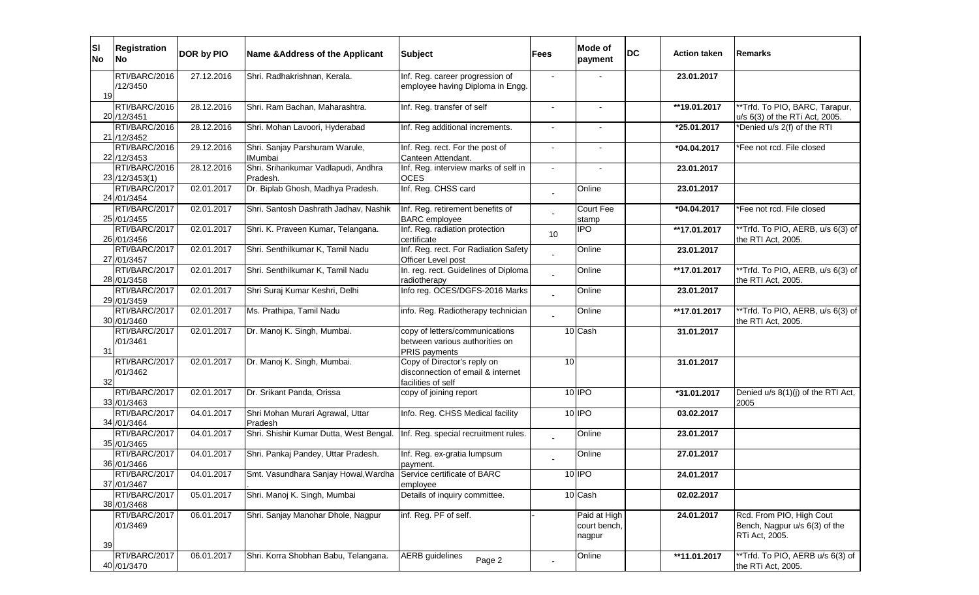| ΙSΙ<br><b>No</b> | <b>Registration</b><br>No        | DOR by PIO | Name & Address of the Applicant                                  | <b>Subject</b>                                                                         | <b>Fees</b>              | Mode of<br>payment                     | <b>DC</b> | <b>Action taken</b> | <b>Remarks</b>                                                              |
|------------------|----------------------------------|------------|------------------------------------------------------------------|----------------------------------------------------------------------------------------|--------------------------|----------------------------------------|-----------|---------------------|-----------------------------------------------------------------------------|
| 19               | RTI/BARC/2016<br>/12/3450        | 27.12.2016 | Shri. Radhakrishnan, Kerala.                                     | Inf. Reg. career progression of<br>employee having Diploma in Engg.                    |                          |                                        |           | 23.01.2017          |                                                                             |
|                  | RTI/BARC/2016<br>20 /12/3451     | 28.12.2016 | Shri. Ram Bachan, Maharashtra.                                   | Inf. Reg. transfer of self                                                             | $\overline{\phantom{a}}$ |                                        |           | **19.01.2017        | **Trfd. To PIO, BARC, Tarapur,<br>u/s 6(3) of the RTi Act, 2005.            |
|                  | RTI/BARC/2016<br>21 /12/3452     | 28.12.2016 | Shri. Mohan Lavoori, Hyderabad                                   | Inf. Reg additional increments.                                                        | $\sim$                   | $\overline{\phantom{a}}$               |           | $*25.01.2017$       | *Denied u/s 2(f) of the RTI                                                 |
|                  | RTI/BARC/2016<br>22 /12/3453     | 29.12.2016 | Shri. Sanjay Parshuram Warule,<br><b>IMumbai</b>                 | Inf. Reg. rect. For the post of<br>Canteen Attendant.                                  | $\overline{\phantom{a}}$ |                                        |           | *04.04.2017         | *Fee not rcd. File closed                                                   |
|                  | RTI/BARC/2016<br>23 / 12/3453(1) | 28.12.2016 | Shri. Sriharikumar Vadlapudi, Andhra<br>Pradesh.                 | Inf. Reg. interview marks of self in<br><b>OCES</b>                                    | $\sim$                   | $\overline{\phantom{a}}$               |           | 23.01.2017          |                                                                             |
|                  | RTI/BARC/2017<br>24 /01/3454     | 02.01.2017 | Dr. Biplab Ghosh, Madhya Pradesh.                                | Inf. Reg. CHSS card                                                                    |                          | Online                                 |           | 23.01.2017          |                                                                             |
|                  | RTI/BARC/2017<br>25 /01/3455     | 02.01.2017 | Shri. Santosh Dashrath Jadhav, Nashik                            | Inf. Reg. retirement benefits of<br><b>BARC</b> employee                               |                          | <b>Court Fee</b><br>stamp              |           | $*04.04.2017$       | *Fee not rcd. File closed                                                   |
|                  | RTI/BARC/2017<br>26 /01/3456     | 02.01.2017 | Shri. K. Praveen Kumar, Telangana.                               | Inf. Reg. radiation protection<br>certificate                                          | 10                       | <b>IPO</b>                             |           | **17.01.2017        | **Trfd. To PIO, AERB, u/s 6(3) of<br>the RTI Act, 2005.                     |
|                  | RTI/BARC/2017<br>27 /01/3457     | 02.01.2017 | Shri. Senthilkumar K, Tamil Nadu                                 | Inf. Reg. rect. For Radiation Safety<br>Officer Level post                             |                          | Online                                 |           | 23.01.2017          |                                                                             |
|                  | RTI/BARC/2017<br>28 /01/3458     | 02.01.2017 | Shri. Senthilkumar K, Tamil Nadu                                 | In. reg. rect. Guidelines of Diploma<br>radiotherapy                                   |                          | Online                                 |           | **17.01.2017        | **Trfd. To PIO, AERB, u/s 6(3) of<br>the RTI Act, 2005.                     |
|                  | RTI/BARC/2017<br>29 /01/3459     | 02.01.2017 | Shri Suraj Kumar Keshri, Delhi                                   | Info reg. OCES/DGFS-2016 Marks                                                         |                          | Online                                 |           | 23.01.2017          |                                                                             |
|                  | RTI/BARC/2017<br>30 /01/3460     | 02.01.2017 | Ms. Prathipa, Tamil Nadu                                         | info. Reg. Radiotherapy technician                                                     |                          | Online                                 |           | **17.01.2017        | **Trfd. To PIO, AERB, u/s 6(3) of<br>the RTI Act, 2005.                     |
| 31               | RTI/BARC/2017<br>/01/3461        | 02.01.2017 | Dr. Manoj K. Singh, Mumbai.                                      | copy of letters/communications<br>between various authorities on<br>PRIS payments      |                          | 10 Cash                                |           | 31.01.2017          |                                                                             |
| 32               | RTI/BARC/2017<br>/01/3462        | 02.01.2017 | Dr. Manoj K. Singh, Mumbai.                                      | Copy of Director's reply on<br>disconnection of email & internet<br>facilities of self | 10                       |                                        |           | 31.01.2017          |                                                                             |
|                  | RTI/BARC/2017<br>33 /01/3463     | 02.01.2017 | Dr. Srikant Panda, Orissa                                        | copy of joining report                                                                 |                          | 10 IPO                                 |           | *31.01.2017         | Denied u/s 8(1)(j) of the RTI Act,<br>2005                                  |
|                  | RTI/BARC/2017<br>34 /01/3464     | 04.01.2017 | Shri Mohan Murari Agrawal, Uttar<br>Pradesh                      | Info. Reg. CHSS Medical facility                                                       |                          | 10 IPO                                 |           | 03.02.2017          |                                                                             |
|                  | RTI/BARC/2017<br>35 /01/3465     | 04.01.2017 | Shri. Shishir Kumar Dutta, West Bengal.                          | Inf. Reg. special recruitment rules.                                                   |                          | Online                                 |           | 23.01.2017          |                                                                             |
|                  | RTI/BARC/2017<br>36 /01/3466     | 04.01.2017 | Shri. Pankaj Pandey, Uttar Pradesh.                              | Inf. Reg. ex-gratia lumpsum<br>payment.                                                |                          | Online                                 |           | 27.01.2017          |                                                                             |
|                  | RTI/BARC/2017<br>37 /01/3467     | 04.01.2017 | Smt. Vasundhara Sanjay Howal, Wardha Service certificate of BARC | employee                                                                               |                          | 10 IPO                                 |           | 24.01.2017          |                                                                             |
|                  | RTI/BARC/2017<br>38 /01/3468     | 05.01.2017 | Shri. Manoj K. Singh, Mumbai                                     | Details of inquiry committee.                                                          |                          | 10 Cash                                |           | 02.02.2017          |                                                                             |
|                  | RTI/BARC/2017<br>/01/3469        | 06.01.2017 | Shri. Sanjay Manohar Dhole, Nagpur                               | inf. Reg. PF of self.                                                                  |                          | Paid at High<br>court bench,<br>nagpur |           | 24.01.2017          | Rcd. From PIO, High Cout<br>Bench, Nagpur u/s 6(3) of the<br>RTi Act, 2005. |
| 39               | RTI/BARC/2017<br>40 /01/3470     | 06.01.2017 | Shri. Korra Shobhan Babu, Telangana.                             | <b>AERB</b> guidelines<br>Page 2                                                       |                          | Online                                 |           | **11.01.2017        | **Trfd. To PIO, AERB u/s 6(3) of<br>the RTi Act, 2005.                      |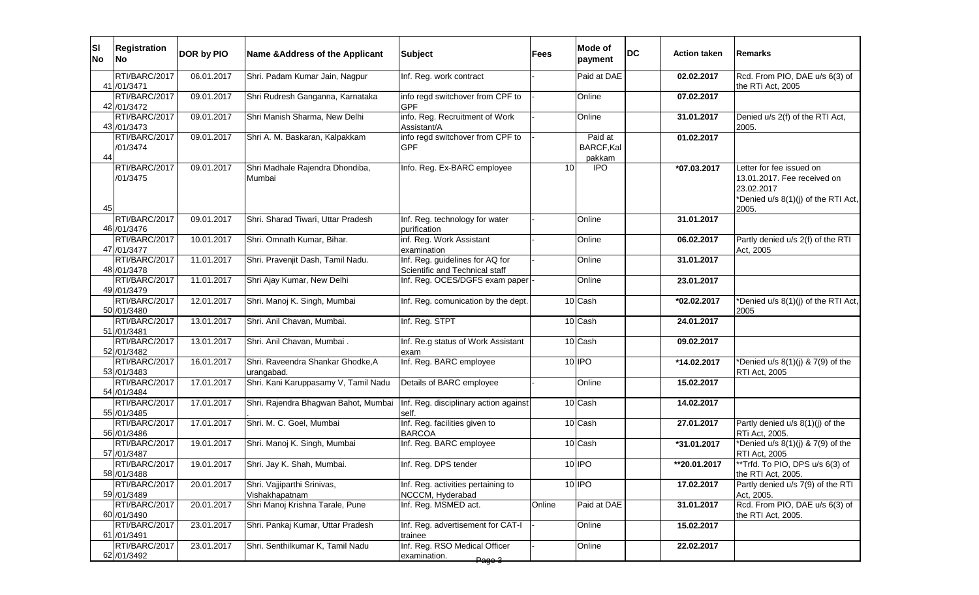| ISI<br><b>No</b> | <b>Registration</b><br><b>No</b> | DOR by PIO | Name & Address of the Applicant                 | <b>Subject</b>                                                    | <b>Fees</b> | Mode of<br>payment              | <b>DC</b> | <b>Action taken</b> | Remarks                                                                                                               |
|------------------|----------------------------------|------------|-------------------------------------------------|-------------------------------------------------------------------|-------------|---------------------------------|-----------|---------------------|-----------------------------------------------------------------------------------------------------------------------|
|                  | RTI/BARC/2017<br>41 /01/3471     | 06.01.2017 | Shri. Padam Kumar Jain, Nagpur                  | Inf. Reg. work contract                                           |             | Paid at DAE                     |           | 02.02.2017          | Rcd. From PIO, DAE u/s 6(3) of<br>the RTi Act, 2005                                                                   |
|                  | RTI/BARC/2017<br>42 /01/3472     | 09.01.2017 | Shri Rudresh Ganganna, Karnataka                | info regd switchover from CPF to<br><b>GPF</b>                    |             | Online                          |           | 07.02.2017          |                                                                                                                       |
|                  | RTI/BARC/2017<br>43 / 01/3473    | 09.01.2017 | Shri Manish Sharma, New Delhi                   | info. Reg. Recruitment of Work<br>Assistant/A                     |             | Online                          |           | 31.01.2017          | Denied u/s 2(f) of the RTI Act,<br>2005.                                                                              |
| 44               | RTI/BARC/2017<br>/01/3474        | 09.01.2017 | Shri A. M. Baskaran, Kalpakkam                  | info regd switchover from CPF to<br><b>GPF</b>                    |             | Paid at<br>BARCF, Kal<br>pakkam |           | 01.02.2017          |                                                                                                                       |
| 45               | RTI/BARC/2017<br>/01/3475        | 09.01.2017 | Shri Madhale Rajendra Dhondiba,<br>Mumbai       | Info. Reg. Ex-BARC employee                                       | 10          | $\overline{1}$                  |           | *07.03.2017         | Letter for fee issued on<br>13.01.2017. Fee received on<br>23.02.2017<br>*Denied u/s 8(1)(j) of the RTI Act,<br>2005. |
|                  | RTI/BARC/2017<br>46 /01/3476     | 09.01.2017 | Shri. Sharad Tiwari, Uttar Pradesh              | Inf. Reg. technology for water<br>purification                    |             | Online                          |           | 31.01.2017          |                                                                                                                       |
|                  | RTI/BARC/2017<br>47 /01/3477     | 10.01.2017 | Shri. Omnath Kumar, Bihar.                      | inf. Reg. Work Assistant<br>examination                           |             | Online                          |           | 06.02.2017          | Partly denied u/s 2(f) of the RTI<br>Act, 2005                                                                        |
|                  | RTI/BARC/2017<br>48 / 01/3478    | 11.01.2017 | Shri. Pravenjit Dash, Tamil Nadu.               | Inf. Reg. guidelines for AQ for<br>Scientific and Technical staff |             | Online                          |           | 31.01.2017          |                                                                                                                       |
|                  | RTI/BARC/2017<br>49 /01/3479     | 11.01.2017 | Shri Ajay Kumar, New Delhi                      | Inf. Reg. OCES/DGFS exam paper                                    |             | Online                          |           | 23.01.2017          |                                                                                                                       |
|                  | RTI/BARC/2017<br>50 /01/3480     | 12.01.2017 | Shri. Manoj K. Singh, Mumbai                    | Inf. Reg. comunication by the dept.                               |             | 10 Cash                         |           | *02.02.2017         | *Denied u/s 8(1)(j) of the RTI Act,<br>2005                                                                           |
|                  | RTI/BARC/2017<br>51 /01/3481     | 13.01.2017 | Shri. Anil Chavan, Mumbai.                      | Inf. Reg. STPT                                                    |             | 10 Cash                         |           | 24.01.2017          |                                                                                                                       |
|                  | RTI/BARC/2017<br>52 /01/3482     | 13.01.2017 | Shri. Anil Chavan, Mumbai.                      | Inf. Re.g status of Work Assistant<br>exam                        |             | 10 Cash                         |           | 09.02.2017          |                                                                                                                       |
|                  | RTI/BARC/2017<br>53 /01/3483     | 16.01.2017 | Shri. Raveendra Shankar Ghodke, A<br>urangabad. | Inf. Reg. BARC employee                                           |             | 10 IPO                          |           | *14.02.2017         | *Denied u/s $8(1)(j)$ & $7(9)$ of the<br>RTI Act, 2005                                                                |
|                  | RTI/BARC/2017<br>54 /01/3484     | 17.01.2017 | Shri. Kani Karuppasamy V, Tamil Nadu            | Details of BARC employee                                          |             | Online                          |           | 15.02.2017          |                                                                                                                       |
|                  | RTI/BARC/2017<br>55 /01/3485     | 17.01.2017 | Shri. Rajendra Bhagwan Bahot, Mumbai            | Inf. Reg. disciplinary action against<br>self.                    |             | 10 Cash                         |           | 14.02.2017          |                                                                                                                       |
|                  | RTI/BARC/2017<br>56 /01/3486     | 17.01.2017 | Shri. M. C. Goel, Mumbai                        | Inf. Reg. facilities given to<br><b>BARCOA</b>                    |             | 10 Cash                         |           | 27.01.2017          | Partly denied u/s 8(1)(j) of the<br>RTi Act, 2005.                                                                    |
|                  | RTI/BARC/2017<br>57 /01/3487     | 19.01.2017 | Shri. Manoj K. Singh, Mumbai                    | Inf. Reg. BARC employee                                           |             | 10 Cash                         |           | *31.01.2017         | *Denied u/s $8(1)(j)$ & $7(9)$ of the<br>RTI Act, 2005                                                                |
|                  | RTI/BARC/2017<br>58 /01/3488     | 19.01.2017 | Shri. Jay K. Shah, Mumbai.                      | Inf. Reg. DPS tender                                              |             | 10 IPO                          |           | $*20.01.2017$       | **Trfd. To PIO, DPS u/s 6(3) of<br>the RTI Act, $2005$ .                                                              |
|                  | RTI/BARC/2017<br>59 /01/3489     | 20.01.2017 | Shri. Vajjiparthi Srinivas,<br>Vishakhapatnam   | Inf. Reg. activities pertaining to<br>NCCCM, Hyderabad            |             | 10 IPO                          |           | 17.02.2017          | Partly denied u/s 7(9) of the RTI<br>Act, 2005.                                                                       |
|                  | RTI/BARC/2017<br>60 /01/3490     | 20.01.2017 | Shri Manoj Krishna Tarale, Pune                 | Inf. Reg. MSMED act.                                              | Online      | Paid at DAE                     |           | 31.01.2017          | Rcd. From PIO, DAE u/s 6(3) of<br>the RTI Act, 2005.                                                                  |
|                  | RTI/BARC/2017<br>61 /01/3491     | 23.01.2017 | Shri. Pankaj Kumar, Uttar Pradesh               | Inf. Reg. advertisement for CAT-I<br>trainee                      |             | Online                          |           | 15.02.2017          |                                                                                                                       |
|                  | RTI/BARC/2017<br>62 /01/3492     | 23.01.2017 | Shri. Senthilkumar K, Tamil Nadu                | Inf. Reg. RSO Medical Officer<br>examination.<br>Page 3           |             | Online                          |           | 22.02.2017          |                                                                                                                       |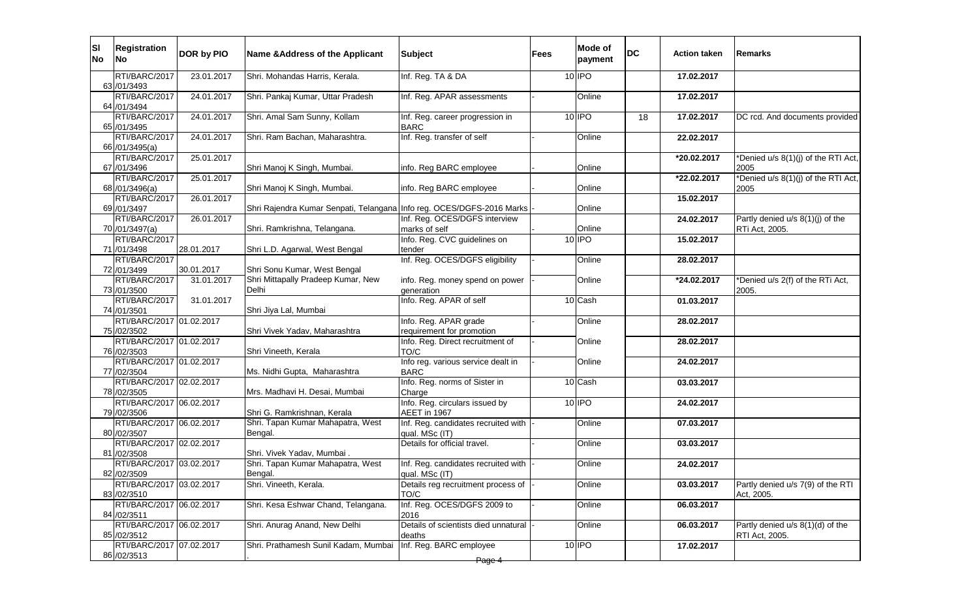| ΙSΙ<br><b>No</b> | <b>Registration</b><br>No                              | DOR by PIO               | Name & Address of the Applicant                                       | <b>Subject</b>                                                           | <b>Fees</b> | Mode of<br>payment | <b>DC</b> | <b>Action taken</b>       | Remarks                                            |
|------------------|--------------------------------------------------------|--------------------------|-----------------------------------------------------------------------|--------------------------------------------------------------------------|-------------|--------------------|-----------|---------------------------|----------------------------------------------------|
|                  | RTI/BARC/2017<br>63 /01/3493                           | 23.01.2017               | Shri. Mohandas Harris, Kerala.                                        | Inf. Reg. TA & DA                                                        |             | 10 IPO             |           | 17.02.2017                |                                                    |
|                  | RTI/BARC/2017<br>64 /01/3494                           | 24.01.2017               | Shri. Pankaj Kumar, Uttar Pradesh                                     | Inf. Reg. APAR assessments                                               |             | Online             |           | 17.02.2017                |                                                    |
|                  | RTI/BARC/2017<br>65 /01/3495                           | 24.01.2017               | Shri. Amal Sam Sunny, Kollam                                          | Inf. Reg. career progression in<br><b>BARC</b>                           |             | 10 IPO             | 18        | 17.02.2017                | DC rcd. And documents provided                     |
|                  | RTI/BARC/2017<br>66 /01/3495(a)                        | 24.01.2017               | Shri. Ram Bachan, Maharashtra.                                        | Inf. Reg. transfer of self                                               |             | Online             |           | 22.02.2017                |                                                    |
|                  | RTI/BARC/2017<br>67 /01/3496                           | 25.01.2017               | Shri Manoj K Singh, Mumbai.                                           | info. Reg BARC employee                                                  |             | Online             |           | *20.02.2017               | *Denied u/s 8(1)(j) of the RTI Act,<br>2005        |
|                  | RTI/BARC/2017<br>68 /01/3496(a)                        | 25.01.2017               | Shri Manoj K Singh, Mumbai.                                           | info. Reg BARC employee                                                  |             | Online             |           | *22.02.2017               | *Denied u/s 8(1)(j) of the RTI Act,<br>2005        |
|                  | RTI/BARC/2017<br>69 / 01/3497                          | 26.01.2017               | Shri Rajendra Kumar Senpati, Telangana Info reg. OCES/DGFS-2016 Marks |                                                                          |             | Online             |           | 15.02.2017                |                                                    |
|                  | RTI/BARC/2017<br>70 /01/3497(a)                        | 26.01.2017               | Shri. Ramkrishna, Telangana.                                          | Inf. Reg. OCES/DGFS interview<br>marks of self                           |             | Online             |           | 24.02.2017                | Partly denied u/s 8(1)(j) of the<br>RTi Act, 2005. |
|                  | RTI/BARC/2017<br>71 /01/3498                           | 28.01.2017               | Shri L.D. Agarwal, West Bengal                                        | Info. Reg. CVC guidelines on<br>tender                                   |             | 10 IPO             |           | 15.02.2017                |                                                    |
|                  | RTI/BARC/2017<br>72 /01/3499<br>RTI/BARC/2017          | 30.01.2017<br>31.01.2017 | Shri Sonu Kumar, West Bengal<br>Shri Mittapally Pradeep Kumar, New    | Inf. Reg. OCES/DGFS eligibility                                          |             | Online<br>Online   |           | 28.02.2017<br>*24.02.2017 | *Denied u/s 2(f) of the RTi Act,                   |
|                  | 73 /01/3500<br>RTI/BARC/2017                           | 31.01.2017               | Delhi                                                                 | info. Reg. money spend on power<br>generation<br>Info. Reg. APAR of self |             | 10 Cash            |           | 01.03.2017                | 2005.                                              |
|                  | 74 /01/3501<br>RTI/BARC/2017 01.02.2017                |                          | Shri Jiya Lal, Mumbai                                                 | Info. Reg. APAR grade                                                    |             | Online             |           | 28.02.2017                |                                                    |
|                  | 75 /02/3502<br>RTI/BARC/2017 01.02.2017                |                          | Shri Vivek Yadav, Maharashtra                                         | requirement for promotion<br>Info. Reg. Direct recruitment of            |             | Online             |           | 28.02.2017                |                                                    |
|                  | 76 /02/3503<br>RTI/BARC/2017 01.02.2017                |                          | Shri Vineeth, Kerala                                                  | TO/C<br>Info reg. various service dealt in                               |             | Online             |           | 24.02.2017                |                                                    |
|                  | 77 /02/3504<br>RTI/BARC/2017 02.02.2017                |                          | Ms. Nidhi Gupta, Maharashtra                                          | <b>BARC</b><br>Info. Reg. norms of Sister in                             |             | 10 Cash            |           | 03.03.2017                |                                                    |
|                  | 78 /02/3505<br>RTI/BARC/2017 06.02.2017                |                          | Mrs. Madhavi H. Desai, Mumbai                                         | Charge<br>Info. Reg. circulars issued by                                 |             | 10 IPO             |           | 24.02.2017                |                                                    |
|                  | 79 /02/3506<br>RTI/BARC/2017 06.02.2017                |                          | Shri G. Ramkrishnan, Kerala<br>Shri. Tapan Kumar Mahapatra, West      | AEET in 1967<br>Inf. Reg. candidates recruited with                      |             | Online             |           | 07.03.2017                |                                                    |
|                  | 80 / 02/3507<br>RTI/BARC/2017 02.02.2017               |                          | Bengal.                                                               | qual. MSc (IT)<br>Details for official travel.                           |             | Online             |           | 03.03.2017                |                                                    |
|                  | 81 /02/3508<br>RTI/BARC/2017 03.02.2017                |                          | Shri, Vivek Yadav, Mumbai<br>Shri. Tapan Kumar Mahapatra, West        | Inf. Reg. candidates recruited with                                      |             | Online             |           | 24.02.2017                |                                                    |
|                  | 82 /02/3509<br>RTI/BARC/2017 03.02.2017                |                          | Bengal.<br>Shri. Vineeth, Kerala.                                     | qual. MSc (IT)<br>Details reg recruitment process of                     |             | Online             |           | 03.03.2017                | Partly denied u/s 7(9) of the RTI                  |
|                  | 83 /02/3510<br>RTI/BARC/2017 06.02.2017<br>84 /02/3511 |                          | Shri. Kesa Eshwar Chand, Telangana.                                   | TO/C<br>Inf. Reg. OCES/DGFS 2009 to<br>2016                              |             | Online             |           | 06.03.2017                | Act, 2005.                                         |
|                  | RTI/BARC/2017 06.02.2017<br>85 /02/3512                |                          | Shri. Anurag Anand, New Delhi                                         | Details of scientists died unnatural<br>deaths                           |             | Online             |           | 06.03.2017                | Partly denied u/s 8(1)(d) of the<br>RTI Act, 2005. |
|                  | RTI/BARC/2017 07.02.2017<br>86 / 02/3513               |                          | Shri. Prathamesh Sunil Kadam, Mumbai                                  | Inf. Reg. BARC employee                                                  |             | 10 IPO             |           | 17.02.2017                |                                                    |
|                  |                                                        |                          |                                                                       | Page 4                                                                   |             |                    |           |                           |                                                    |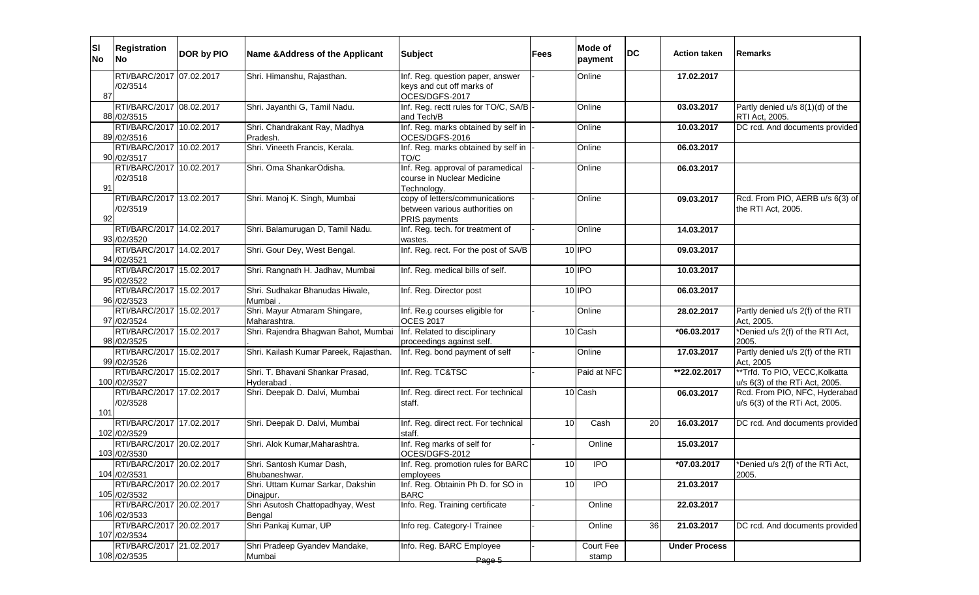| ΙSΙ<br><b>No</b> | <b>Registration</b><br>No                 | DOR by PIO | Name & Address of the Applicant                | <b>Subject</b>                                                                    | <b>Fees</b> | Mode of<br>payment        | <b>DC</b> | <b>Action taken</b>  | <b>Remarks</b>                                                   |
|------------------|-------------------------------------------|------------|------------------------------------------------|-----------------------------------------------------------------------------------|-------------|---------------------------|-----------|----------------------|------------------------------------------------------------------|
| 87               | RTI/BARC/2017 07.02.2017<br>/02/3514      |            | Shri. Himanshu, Rajasthan.                     | Inf. Reg. question paper, answer<br>keys and cut off marks of<br>OCES/DGFS-2017   |             | Online                    |           | 17.02.2017           |                                                                  |
|                  | RTI/BARC/2017 08.02.2017<br>88 /02/3515   |            | Shri. Jayanthi G, Tamil Nadu.                  | Inf. Reg. rectt rules for TO/C, SA/B -<br>and Tech/B                              |             | Online                    |           | 03.03.2017           | Partly denied u/s 8(1)(d) of the<br>RTI Act, 2005.               |
|                  | RTI/BARC/2017 10.02.2017<br>89 /02/3516   |            | Shri. Chandrakant Ray, Madhya<br>Pradesh.      | Inf. Reg. marks obtained by self in<br>OCES/DGFS-2016                             |             | Online                    |           | 10.03.2017           | DC rcd. And documents provided                                   |
|                  | RTI/BARC/2017 10.02.2017<br>90 /02/3517   |            | Shri. Vineeth Francis, Kerala.                 | Inf. Reg. marks obtained by self in<br>TO/C                                       |             | Online                    |           | 06.03.2017           |                                                                  |
| 91               | RTI/BARC/2017 10.02.2017<br>/02/3518      |            | Shri. Oma ShankarOdisha.                       | Inf. Reg. approval of paramedical<br>course in Nuclear Medicine<br>Technology.    |             | Online                    |           | 06.03.2017           |                                                                  |
| 92               | RTI/BARC/2017 13.02.2017<br>/02/3519      |            | Shri. Manoj K. Singh, Mumbai                   | copy of letters/communications<br>between various authorities on<br>PRIS payments |             | Online                    |           | 09.03.2017           | Rcd. From PIO, AERB u/s 6(3) of<br>the RTI Act, 2005.            |
|                  | RTI/BARC/2017 14.02.2017<br>93 /02/3520   |            | Shri. Balamurugan D, Tamil Nadu.               | Inf. Reg. tech. for treatment of<br>wastes.                                       |             | Online                    |           | 14.03.2017           |                                                                  |
|                  | RTI/BARC/2017 14.02.2017<br>94 /02/3521   |            | Shri. Gour Dey, West Bengal.                   | Inf. Reg. rect. For the post of SA/B                                              |             | 10 IPO                    |           | 09.03.2017           |                                                                  |
|                  | RTI/BARC/2017 15.02.2017<br>95 /02/3522   |            | Shri. Rangnath H. Jadhav, Mumbai               | Inf. Reg. medical bills of self.                                                  |             | 10 IPO                    |           | 10.03.2017           |                                                                  |
|                  | RTI/BARC/2017 15.02.2017<br>96 /02/3523   |            | Shri. Sudhakar Bhanudas Hiwale,<br>Mumbai      | Inf. Reg. Director post                                                           |             | 10 IPO                    |           | 06.03.2017           |                                                                  |
|                  | RTI/BARC/2017 15.02.2017<br>97 /02/3524   |            | Shri. Mayur Atmaram Shingare,<br>Maharashtra.  | Inf. Re.g courses eligible for<br><b>OCES 2017</b>                                |             | Online                    |           | 28.02.2017           | Partly denied u/s 2(f) of the RTI<br>Act, 2005.                  |
|                  | RTI/BARC/2017 15.02.2017<br>98 /02/3525   |            | Shri. Rajendra Bhagwan Bahot, Mumbai           | Inf. Related to disciplinary<br>proceedings against self.                         |             | 10 Cash                   |           | *06.03.2017          | *Denied u/s 2(f) of the RTI Act,<br>2005.                        |
|                  | RTI/BARC/2017 15.02.2017<br>99 /02/3526   |            | Shri. Kailash Kumar Pareek, Rajasthan.         | Inf. Reg. bond payment of self                                                    |             | Online                    |           | 17.03.2017           | Partly denied u/s 2(f) of the RTI<br>Act, 2005                   |
|                  | RTI/BARC/2017 15.02.2017<br>100 /02/3527  |            | Shri. T. Bhavani Shankar Prasad,<br>Hyderabad  | Inf. Reg. TC&TSC                                                                  |             | Paid at NFC               |           | **22.02.2017         | **Trfd. To PIO, VECC, Kolkatta<br>u/s 6(3) of the RTi Act, 2005. |
| 101              | RTI/BARC/2017 17.02.2017<br>/02/3528      |            | Shri. Deepak D. Dalvi, Mumbai                  | Inf. Reg. direct rect. For technical<br>staff.                                    |             | 10 Cash                   |           | 06.03.2017           | Rcd. From PIO, NFC, Hyderabad<br>u/s 6(3) of the RTi Act, 2005.  |
|                  | RTI/BARC/2017 17.02.2017<br>102 /02/3529  |            | Shri. Deepak D. Dalvi, Mumbai                  | Inf. Reg. direct rect. For technical<br>staff.                                    | 10          | Cash                      | 20        | 16.03.2017           | DC rcd. And documents provided                                   |
|                  | RTI/BARC/2017 20.02.2017<br>103 /02/3530  |            | Shri. Alok Kumar, Maharashtra.                 | Inf. Reg marks of self for<br>OCES/DGFS-2012                                      |             | Online                    |           | 15.03.2017           |                                                                  |
|                  | RTI/BARC/2017 20.02.2017<br>104 / 02/3531 |            | Shri. Santosh Kumar Dash,<br>Bhubaneshwar.     | Inf. Reg. promotion rules for BARC<br>employees                                   | 10          | $\overline{1}$            |           | *07.03.2017          | *Denied u/s 2(f) of the RTi Act,<br>2005.                        |
|                  | RTI/BARC/2017 20.02.2017<br>105 /02/3532  |            | Shri. Uttam Kumar Sarkar, Dakshin<br>Dinajpur. | Inf. Reg. Obtainin Ph D. for SO in<br><b>BARC</b>                                 | 10          | $\overline{1}$            |           | 21.03.2017           |                                                                  |
|                  | RTI/BARC/2017 20.02.2017<br>106 /02/3533  |            | Shri Asutosh Chattopadhyay, West<br>Bengal     | Info. Reg. Training certificate                                                   |             | Online                    |           | 22.03.2017           |                                                                  |
|                  | RTI/BARC/2017 20.02.2017<br>107 /02/3534  |            | Shri Pankaj Kumar, UP                          | Info reg. Category-I Trainee                                                      |             | Online                    | 36        | 21.03.2017           | DC rcd. And documents provided                                   |
|                  | RTI/BARC/2017 21.02.2017<br>108 /02/3535  |            | Shri Pradeep Gyandev Mandake,<br>Mumbai        | Info. Reg. BARC Employee<br>Page 5                                                |             | <b>Court Fee</b><br>stamp |           | <b>Under Process</b> |                                                                  |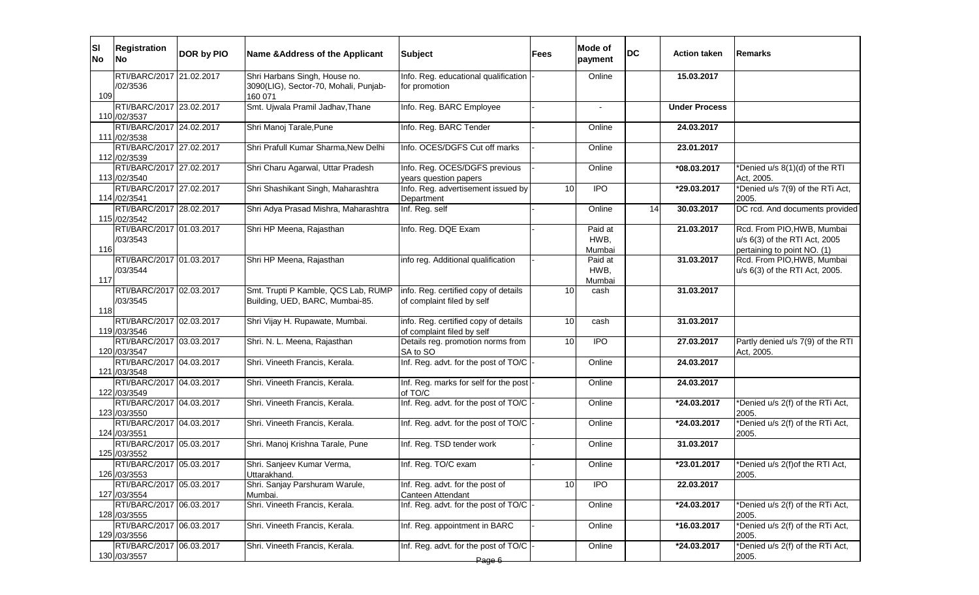| <b>SI</b><br><b>No</b> | <b>Registration</b><br>No l              | DOR by PIO | Name & Address of the Applicant                                                   | <b>Subject</b>                                                     | <b>Fees</b> | Mode of<br>payment        | <b>DC</b> | <b>Action taken</b>     | Remarks                                                                                    |
|------------------------|------------------------------------------|------------|-----------------------------------------------------------------------------------|--------------------------------------------------------------------|-------------|---------------------------|-----------|-------------------------|--------------------------------------------------------------------------------------------|
| 109                    | RTI/BARC/2017 21.02.2017<br>/02/3536     |            | Shri Harbans Singh, House no.<br>3090(LIG), Sector-70, Mohali, Punjab-<br>160 071 | Info. Reg. educational qualification<br>for promotion              |             | Online                    |           | 15.03.2017              |                                                                                            |
|                        | RTI/BARC/2017 23.02.2017<br>110 /02/3537 |            | Smt. Ujwala Pramil Jadhav, Thane                                                  | Info. Reg. BARC Employee                                           |             | $\blacksquare$            |           | <b>Under Process</b>    |                                                                                            |
|                        | RTI/BARC/2017 24.02.2017<br>111 /02/3538 |            | Shri Manoj Tarale, Pune                                                           | Info. Reg. BARC Tender                                             |             | Online                    |           | 24.03.2017              |                                                                                            |
|                        | RTI/BARC/2017 27.02.2017<br>112 /02/3539 |            | Shri Prafull Kumar Sharma, New Delhi                                              | Info. OCES/DGFS Cut off marks                                      |             | Online                    |           | 23.01.2017              |                                                                                            |
|                        | RTI/BARC/2017 27.02.2017<br>113 /02/3540 |            | Shri Charu Agarwal, Uttar Pradesh                                                 | Info. Reg. OCES/DGFS previous<br>years question papers             |             | Online                    |           | *08.03.2017             | *Denied u/s 8(1)(d) of the RTI<br>Act, 2005.                                               |
|                        | RTI/BARC/2017 27.02.2017<br>114 /02/3541 |            | Shri Shashikant Singh, Maharashtra                                                | Info. Reg. advertisement issued by<br>Department                   | 10          | <b>IPO</b>                |           | *29.03.2017             | *Denied u/s 7(9) of the RTi Act,<br>2005.                                                  |
|                        | RTI/BARC/2017 28.02.2017<br>115 /02/3542 |            | Shri Adya Prasad Mishra, Maharashtra                                              | Inf. Reg. self                                                     |             | Online                    | 14        | 30.03.2017              | DC rcd. And documents provided                                                             |
| 116                    | RTI/BARC/2017 01.03.2017<br>/03/3543     |            | Shri HP Meena, Rajasthan                                                          | Info. Reg. DQE Exam                                                |             | Paid at<br>HWB,<br>Mumbai |           | 21.03.2017              | Rcd. From PIO, HWB, Mumbai<br>u/s 6(3) of the RTI Act, 2005<br>pertaining to point NO. (1) |
| 117                    | RTI/BARC/2017 01.03.2017<br>/03/3544     |            | Shri HP Meena, Rajasthan                                                          | info reg. Additional qualification                                 |             | Paid at<br>HWB,<br>Mumbai |           | 31.03.2017              | Rcd. From PIO, HWB, Mumbai<br>u/s 6(3) of the RTI Act, 2005.                               |
| 118                    | RTI/BARC/2017 02.03.2017<br>/03/3545     |            | Smt. Trupti P Kamble, QCS Lab, RUMP<br>Building, UED, BARC, Mumbai-85.            | info. Reg. certified copy of details<br>of complaint filed by self | 10          | cash                      |           | 31.03.2017              |                                                                                            |
|                        | RTI/BARC/2017 02.03.2017<br>119 /03/3546 |            | Shri Vijay H. Rupawate, Mumbai.                                                   | info. Reg. certified copy of details<br>of complaint filed by self | 10          | cash                      |           | 31.03.2017              |                                                                                            |
|                        | RTI/BARC/2017 03.03.2017<br>120 /03/3547 |            | Shri. N. L. Meena, Rajasthan                                                      | Details reg. promotion norms from<br>SA to SO                      | 10          | $\overline{1}$            |           | 27.03.2017              | Partly denied u/s 7(9) of the RTI<br>Act, 2005.                                            |
|                        | RTI/BARC/2017 04.03.2017<br>121 /03/3548 |            | Shri. Vineeth Francis, Kerala.                                                    | Inf. Reg. advt. for the post of TO/C                               |             | Online                    |           | 24.03.2017              |                                                                                            |
|                        | RTI/BARC/2017 04.03.2017<br>122 /03/3549 |            | Shri. Vineeth Francis, Kerala.                                                    | Inf. Reg. marks for self for the post<br>of TO/C                   |             | Online                    |           | 24.03.2017              |                                                                                            |
|                        | RTI/BARC/2017 04.03.2017<br>123 /03/3550 |            | Shri. Vineeth Francis, Kerala.                                                    | Inf. Reg. advt. for the post of TO/C                               |             | Online                    |           | *24.03.2017             | *Denied u/s 2(f) of the RTi Act,<br>2005.                                                  |
|                        | RTI/BARC/2017 04.03.2017<br>124 /03/3551 |            | Shri. Vineeth Francis, Kerala.                                                    | Inf. Reg. advt. for the post of TO/C                               |             | Online                    |           | *24.03.2017             | *Denied u/s 2(f) of the RTi Act,<br>2005.                                                  |
|                        | RTI/BARC/2017 05.03.2017<br>125 /03/3552 |            | Shri. Manoj Krishna Tarale, Pune                                                  | Inf. Reg. TSD tender work                                          |             | Online                    |           | 31.03.2017              |                                                                                            |
|                        | RTI/BARC/2017 05.03.2017<br>126 /03/3553 |            | Shri. Sanjeev Kumar Verma,<br>Uttarakhand.                                        | Inf. Reg. TO/C exam                                                |             | Online                    |           | *23.01.2017             | *Denied u/s 2(f) of the RTI Act,<br>2005.                                                  |
|                        | RTI/BARC/2017 05.03.2017<br>127 /03/3554 |            | Shri. Sanjay Parshuram Warule,<br>Mumbai.                                         | Inf. Reg. advt. for the post of<br>Canteen Attendant               | 10          | $\overline{1}$            |           | 22.03.2017              |                                                                                            |
|                        | RTI/BARC/2017 06.03.2017<br>128 /03/3555 |            | Shri. Vineeth Francis, Kerala.                                                    | Inf. Reg. advt. for the post of TO/C -                             |             | Online                    |           | *24.03.2017             | *Denied u/s 2(f) of the RTi Act,<br>2005.                                                  |
|                        | RTI/BARC/2017 06.03.2017<br>129 /03/3556 |            | Shri. Vineeth Francis, Kerala.                                                    | Inf. Reg. appointment in BARC                                      |             | Online                    |           | *16.03.2017             | *Denied u/s 2(f) of the RTi Act,<br>2005.                                                  |
|                        | RTI/BARC/2017 06.03.2017<br>130 /03/3557 |            | Shri. Vineeth Francis, Kerala.                                                    | Inf. Reg. advt. for the post of TO/C -<br>Page 6                   |             | Online                    |           | $\overline{24.03.2017}$ | *Denied u/s 2(f) of the RTi Act,<br>2005.                                                  |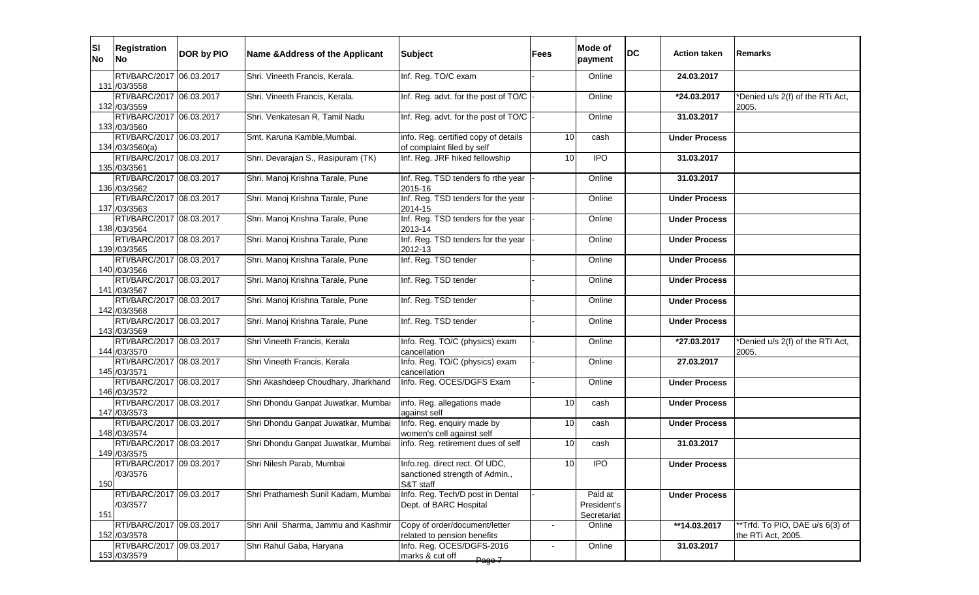| SI <br>No | <b>Registration</b><br>INo.                 | DOR by PIO | Name & Address of the Applicant     | <b>Subject</b>                                                                | Fees | Mode of<br>payment                    | DC | <b>Action taken</b>  | Remarks                                               |
|-----------|---------------------------------------------|------------|-------------------------------------|-------------------------------------------------------------------------------|------|---------------------------------------|----|----------------------|-------------------------------------------------------|
|           | RTI/BARC/2017 06.03.2017<br>131 /03/3558    |            | Shri. Vineeth Francis, Kerala.      | Inf. Reg. TO/C exam                                                           |      | Online                                |    | 24.03.2017           |                                                       |
|           | RTI/BARC/2017 06.03.2017<br>132 /03/3559    |            | Shri. Vineeth Francis, Kerala.      | Inf. Reg. advt. for the post of TO/C                                          |      | Online                                |    | *24.03.2017          | *Denied u/s 2(f) of the RTi Act,<br>2005.             |
|           | RTI/BARC/2017 06.03.2017<br>133 /03/3560    |            | Shri. Venkatesan R, Tamil Nadu      | Inf. Reg. advt. for the post of TO/C                                          |      | Online                                |    | 31.03.2017           |                                                       |
|           | RTI/BARC/2017 06.03.2017<br>134 /03/3560(a) |            | Smt. Karuna Kamble, Mumbai.         | info. Reg. certified copy of details<br>of complaint filed by self            | 10   | cash                                  |    | <b>Under Process</b> |                                                       |
|           | RTI/BARC/2017 08.03.2017<br>135 /03/3561    |            | Shri. Devarajan S., Rasipuram (TK)  | Inf. Reg. JRF hiked fellowship                                                | 10   | <b>IPO</b>                            |    | 31.03.2017           |                                                       |
|           | RTI/BARC/2017 08.03.2017<br>136 /03/3562    |            | Shri. Manoj Krishna Tarale, Pune    | Inf. Reg. TSD tenders fo rthe year<br>2015-16                                 |      | Online                                |    | 31.03.2017           |                                                       |
|           | RTI/BARC/2017 08.03.2017<br>137 /03/3563    |            | Shri. Manoj Krishna Tarale, Pune    | Inf. Reg. TSD tenders for the year<br>2014-15                                 |      | Online                                |    | <b>Under Process</b> |                                                       |
|           | RTI/BARC/2017 08.03.2017<br>138 /03/3564    |            | Shri. Manoj Krishna Tarale, Pune    | Inf. Reg. TSD tenders for the year<br>2013-14                                 |      | Online                                |    | <b>Under Process</b> |                                                       |
|           | RTI/BARC/2017 08.03.2017<br>139 /03/3565    |            | Shri. Manoj Krishna Tarale, Pune    | Inf. Reg. TSD tenders for the year<br>2012-13                                 |      | Online                                |    | <b>Under Process</b> |                                                       |
|           | RTI/BARC/2017 08.03.2017<br>140 /03/3566    |            | Shri. Manoj Krishna Tarale, Pune    | Inf. Reg. TSD tender                                                          |      | Online                                |    | <b>Under Process</b> |                                                       |
|           | RTI/BARC/2017 08.03.2017<br>141 /03/3567    |            | Shri. Manoj Krishna Tarale, Pune    | Inf. Reg. TSD tender                                                          |      | Online                                |    | <b>Under Process</b> |                                                       |
|           | RTI/BARC/2017 08.03.2017<br>142 /03/3568    |            | Shri. Manoj Krishna Tarale, Pune    | Inf. Reg. TSD tender                                                          |      | Online                                |    | <b>Under Process</b> |                                                       |
|           | RTI/BARC/2017 08.03.2017<br>143 /03/3569    |            | Shri. Manoj Krishna Tarale, Pune    | Inf. Reg. TSD tender                                                          |      | Online                                |    | <b>Under Process</b> |                                                       |
|           | RTI/BARC/2017 08.03.2017<br>144 /03/3570    |            | Shri Vineeth Francis, Kerala        | Info. Reg. TO/C (physics) exam<br>cancellation                                |      | Online                                |    | *27.03.2017          | *Denied u/s 2(f) of the RTI Act,<br>2005.             |
|           | RTI/BARC/2017 08.03.2017<br>145 /03/3571    |            | Shri Vineeth Francis, Kerala        | Info. Reg. TO/C (physics) exam<br>cancellation                                |      | Online                                |    | 27.03.2017           |                                                       |
|           | RTI/BARC/2017 08.03.2017<br>146 /03/3572    |            | Shri Akashdeep Choudhary, Jharkhand | Info. Reg. OCES/DGFS Exam                                                     |      | Online                                |    | <b>Under Process</b> |                                                       |
|           | RTI/BARC/2017 08.03.2017<br>147 /03/3573    |            | Shri Dhondu Ganpat Juwatkar, Mumbai | info. Reg. allegations made<br>against self                                   | 10   | cash                                  |    | <b>Under Process</b> |                                                       |
|           | RTI/BARC/2017 08.03.2017<br>148 /03/3574    |            | Shri Dhondu Ganpat Juwatkar, Mumbai | Info. Reg. enquiry made by<br>women's cell against self                       | 10   | cash                                  |    | <b>Under Process</b> |                                                       |
|           | RTI/BARC/2017 08.03.2017<br>149 /03/3575    |            | Shri Dhondu Ganpat Juwatkar, Mumbai | info. Reg. retirement dues of self                                            | 10   | cash                                  |    | 31.03.2017           |                                                       |
| 150       | RTI/BARC/2017 09.03.2017<br>/03/3576        |            | Shri Nilesh Parab, Mumbai           | Info.reg. direct rect. Of UDC,<br>sanctioned strength of Admin.,<br>S&T staff | 10   | <b>IPO</b>                            |    | <b>Under Process</b> |                                                       |
| 151       | RTI/BARC/2017 09.03.2017<br>/03/3577        |            | Shri Prathamesh Sunil Kadam, Mumbai | Info. Reg. Tech/D post in Dental<br>Dept. of BARC Hospital                    |      | Paid at<br>President's<br>Secretariat |    | <b>Under Process</b> |                                                       |
|           | RTI/BARC/2017 09.03.2017<br>152 /03/3578    |            | Shri Anil Sharma, Jammu and Kashmir | Copy of order/document/letter<br>related to pension benefits                  |      | Online                                |    | **14.03.2017         | **Trfd. To PIO, DAE u/s 6(3) of<br>the RTi Act, 2005. |
|           | RTI/BARC/2017 09.03.2017<br>153 /03/3579    |            | Shri Rahul Gaba, Haryana            | Info. Reg. OCES/DGFS-2016<br>marks & cut off<br>Page 7                        |      | Online                                |    | 31.03.2017           |                                                       |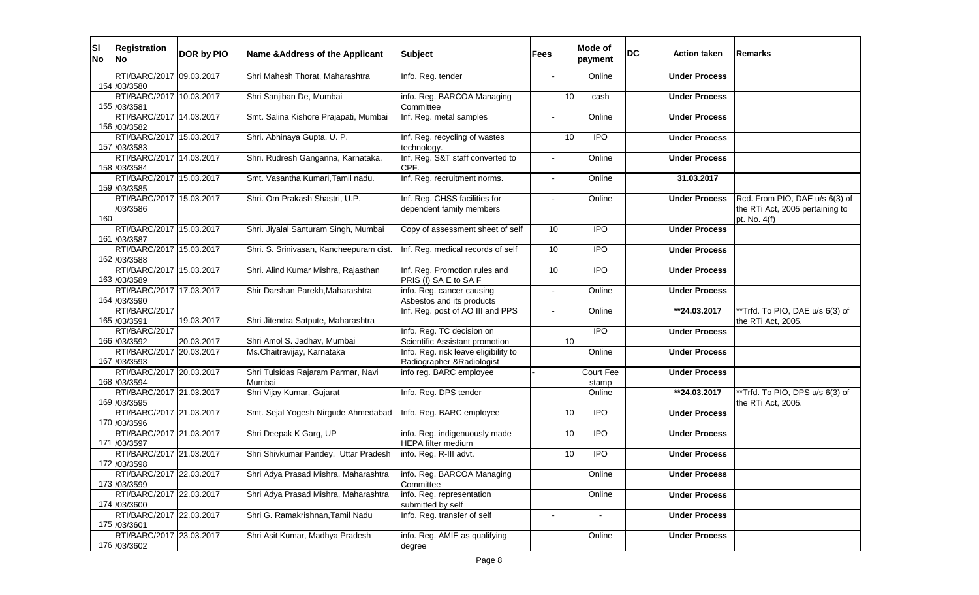| <b>SI</b><br><b>No</b> | <b>Registration</b><br>No l              | DOR by PIO | Name & Address of the Applicant         | <b>Subject</b>                                            | <b>Fees</b>     | Mode of<br>payment | <b>DC</b> | <b>Action taken</b>  | Remarks                                                           |
|------------------------|------------------------------------------|------------|-----------------------------------------|-----------------------------------------------------------|-----------------|--------------------|-----------|----------------------|-------------------------------------------------------------------|
|                        | RTI/BARC/2017 09.03.2017                 |            | Shri Mahesh Thorat, Maharashtra         | Info. Reg. tender                                         |                 | Online             |           | <b>Under Process</b> |                                                                   |
|                        | 154 /03/3580<br>RTI/BARC/2017 10.03.2017 |            | Shri Sanjiban De, Mumbai                | info. Reg. BARCOA Managing                                | 10              | cash               |           | <b>Under Process</b> |                                                                   |
|                        | 155 /03/3581                             |            |                                         | Committee                                                 |                 |                    |           |                      |                                                                   |
|                        | RTI/BARC/2017 14.03.2017                 |            | Smt. Salina Kishore Prajapati, Mumbai   | Inf. Reg. metal samples                                   | $\blacksquare$  | Online             |           | <b>Under Process</b> |                                                                   |
|                        | 156 /03/3582                             |            |                                         |                                                           |                 |                    |           |                      |                                                                   |
|                        | RTI/BARC/2017 15.03.2017<br>157 /03/3583 |            | Shri. Abhinaya Gupta, U. P.             | Inf. Reg. recycling of wastes<br>technology.              | 10              | <b>IPO</b>         |           | <b>Under Process</b> |                                                                   |
|                        | RTI/BARC/2017 14.03.2017                 |            | Shri. Rudresh Ganganna, Karnataka.      | Inf. Reg. S&T staff converted to                          |                 | Online             |           | <b>Under Process</b> |                                                                   |
|                        | 158 /03/3584                             |            |                                         | CPF.                                                      |                 |                    |           |                      |                                                                   |
|                        | RTI/BARC/2017 15.03.2017                 |            | Smt. Vasantha Kumari, Tamil nadu.       | Inf. Reg. recruitment norms.                              | $\blacksquare$  | Online             |           | 31.03.2017           |                                                                   |
|                        | 159 /03/3585<br>RTI/BARC/2017 15.03.2017 |            |                                         |                                                           |                 |                    |           |                      |                                                                   |
|                        | /03/3586                                 |            | Shri. Om Prakash Shastri, U.P.          | Inf. Reg. CHSS facilities for<br>dependent family members |                 | Online             |           | <b>Under Process</b> | Rcd. From PIO, DAE u/s 6(3) of<br>the RTi Act, 2005 pertaining to |
| 160                    |                                          |            |                                         |                                                           |                 |                    |           |                      | pt. No. 4(f)                                                      |
|                        | RTI/BARC/2017 15.03.2017                 |            | Shri. Jiyalal Santuram Singh, Mumbai    | Copy of assessment sheet of self                          | 10              | <b>IPO</b>         |           | <b>Under Process</b> |                                                                   |
|                        | 161 /03/3587                             |            |                                         |                                                           |                 |                    |           |                      |                                                                   |
|                        | RTI/BARC/2017 15.03.2017<br>162 /03/3588 |            | Shri. S. Srinivasan, Kancheepuram dist. | Inf. Reg. medical records of self                         | 10              | <b>IPO</b>         |           | <b>Under Process</b> |                                                                   |
|                        | RTI/BARC/2017 15.03.2017                 |            | Shri. Alind Kumar Mishra, Rajasthan     | Inf. Reg. Promotion rules and                             | 10              | <b>IPO</b>         |           | <b>Under Process</b> |                                                                   |
|                        | 163 /03/3589                             |            |                                         | PRIS (I) SA E to SA F                                     |                 |                    |           |                      |                                                                   |
|                        | RTI/BARC/2017 17.03.2017                 |            | Shir Darshan Parekh, Maharashtra        | info. Reg. cancer causing                                 | $\blacksquare$  | Online             |           | <b>Under Process</b> |                                                                   |
|                        | 164 /03/3590                             |            |                                         | Asbestos and its products                                 |                 |                    |           |                      |                                                                   |
|                        | RTI/BARC/2017<br>165 /03/3591            | 19.03.2017 | Shri Jitendra Satpute, Maharashtra      | Inf. Reg. post of AO III and PPS                          |                 | Online             |           | **24.03.2017         | **Trfd. To PIO, DAE u/s $6(3)$ of<br>the RTi Act, 2005.           |
|                        | RTI/BARC/2017                            |            |                                         | Info. Reg. TC decision on                                 |                 | $\overline{1}$     |           | <b>Under Process</b> |                                                                   |
|                        | 166 /03/3592                             | 20.03.2017 | Shri Amol S. Jadhav, Mumbai             | Scientific Assistant promotion                            | 10 <sup>1</sup> |                    |           |                      |                                                                   |
|                        | RTI/BARC/2017 20.03.2017                 |            | Ms.Chaitravijay, Karnataka              | Info. Reg. risk leave eligibility to                      |                 | Online             |           | <b>Under Process</b> |                                                                   |
|                        | 167 /03/3593<br>RTI/BARC/2017 20.03.2017 |            | Shri Tulsidas Rajaram Parmar, Navi      | Radiographer & Radiologist<br>info reg. BARC employee     |                 | Court Fee          |           |                      |                                                                   |
|                        | 168 /03/3594                             |            | Mumbai                                  |                                                           |                 | stamp              |           | <b>Under Process</b> |                                                                   |
|                        | RTI/BARC/2017 21.03.2017                 |            | Shri Vijay Kumar, Gujarat               | Info. Reg. DPS tender                                     |                 | Online             |           | **24.03.2017         | **Trfd. To PIO, DPS $u/s$ 6(3) of                                 |
|                        | 169 /03/3595                             |            |                                         |                                                           |                 |                    |           |                      | the RTi Act, 2005.                                                |
|                        | RTI/BARC/2017 21.03.2017                 |            | Smt. Sejal Yogesh Nirgude Ahmedabad     | Info. Reg. BARC employee                                  | 10              | <b>IPO</b>         |           | <b>Under Process</b> |                                                                   |
|                        | 170 /03/3596<br>RTI/BARC/2017 21.03.2017 |            | Shri Deepak K Garg, UP                  | info. Reg. indigenuously made                             | 10              | <b>IPO</b>         |           | <b>Under Process</b> |                                                                   |
|                        | 171 /03/3597                             |            |                                         | HEPA filter medium                                        |                 |                    |           |                      |                                                                   |
|                        | RTI/BARC/2017 21.03.2017                 |            | Shri Shivkumar Pandey, Uttar Pradesh    | info. Reg. R-III advt.                                    | 10              | <b>IPO</b>         |           | <b>Under Process</b> |                                                                   |
|                        | 172 /03/3598                             |            |                                         |                                                           |                 |                    |           |                      |                                                                   |
|                        | RTI/BARC/2017 22.03.2017<br>173 /03/3599 |            | Shri Adya Prasad Mishra, Maharashtra    | info. Reg. BARCOA Managing<br>Committee                   |                 | Online             |           | <b>Under Process</b> |                                                                   |
|                        | RTI/BARC/2017 22.03.2017                 |            | Shri Adya Prasad Mishra, Maharashtra    | info. Reg. representation                                 |                 | Online             |           | <b>Under Process</b> |                                                                   |
|                        | 174 /03/3600                             |            |                                         | submitted by self                                         |                 |                    |           |                      |                                                                   |
|                        | RTI/BARC/2017 22.03.2017<br>175 /03/3601 |            | Shri G. Ramakrishnan, Tamil Nadu        | Info. Reg. transfer of self                               |                 |                    |           | <b>Under Process</b> |                                                                   |
|                        | RTI/BARC/2017 23.03.2017                 |            | Shri Asit Kumar, Madhya Pradesh         | info. Reg. AMIE as qualifying                             |                 | Online             |           | <b>Under Process</b> |                                                                   |
|                        | 176 /03/3602                             |            |                                         | degree                                                    |                 |                    |           |                      |                                                                   |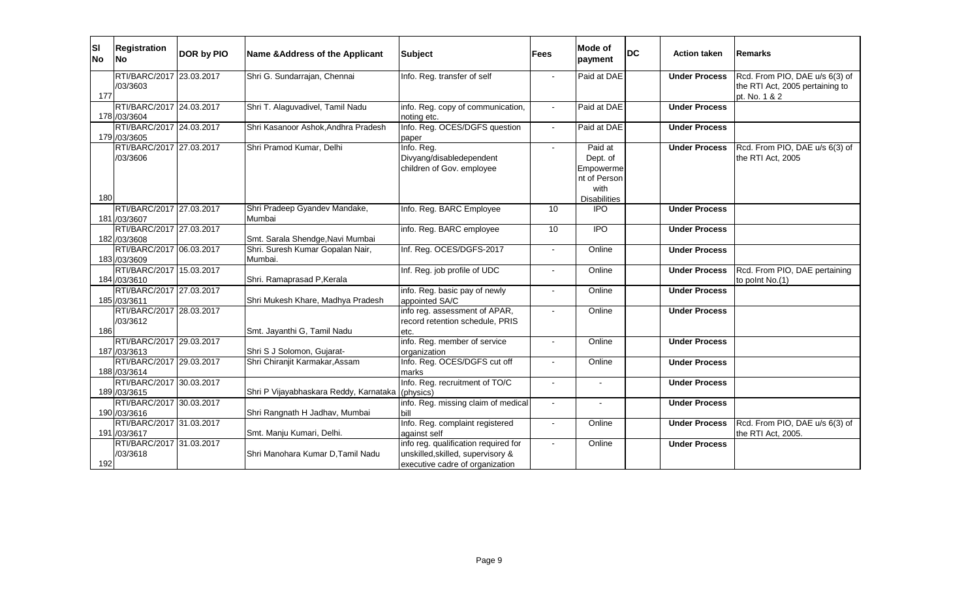| <b>SI</b><br><b>No</b> | <b>Registration</b><br><b>No</b>         | DOR by PIO | Name & Address of the Applicant             | <b>Subject</b>                                                                                               | <b>Fees</b>              | Mode of<br>payment                                                              | <b>DC</b> | <b>Action taken</b>  | <b>Remarks</b>                                                                     |
|------------------------|------------------------------------------|------------|---------------------------------------------|--------------------------------------------------------------------------------------------------------------|--------------------------|---------------------------------------------------------------------------------|-----------|----------------------|------------------------------------------------------------------------------------|
| 177                    | RTI/BARC/2017 23.03.2017<br>/03/3603     |            | Shri G. Sundarrajan, Chennai                | Info. Reg. transfer of self                                                                                  |                          | Paid at DAE                                                                     |           | <b>Under Process</b> | Rcd. From PIO, DAE u/s 6(3) of<br>the RTI Act, 2005 pertaining to<br>pt. No. 1 & 2 |
|                        | RTI/BARC/2017 24.03.2017<br>178 /03/3604 |            | Shri T. Alaguvadivel, Tamil Nadu            | info. Reg. copy of communication,<br>noting etc.                                                             | $\blacksquare$           | Paid at DAE                                                                     |           | <b>Under Process</b> |                                                                                    |
|                        | RTI/BARC/2017 24.03.2017<br>179 /03/3605 |            | Shri Kasanoor Ashok, Andhra Pradesh         | Info. Reg. OCES/DGFS question<br>paper                                                                       | $\overline{\phantom{a}}$ | Paid at DAE                                                                     |           | <b>Under Process</b> |                                                                                    |
| 180                    | RTI/BARC/2017 27.03.2017<br>/03/3606     |            | Shri Pramod Kumar, Delhi                    | Info. Reg.<br>Divyang/disabledependent<br>children of Gov. employee                                          | $\overline{a}$           | Paid at<br>Dept. of<br>Empowerme<br>nt of Person<br>with<br><b>Disabilities</b> |           | <b>Under Process</b> | Rcd. From PIO, DAE u/s 6(3) of<br>the RTI Act, 2005                                |
|                        | RTI/BARC/2017 27.03.2017<br>181 /03/3607 |            | Shri Pradeep Gyandev Mandake,<br>Mumbai     | Info. Reg. BARC Employee                                                                                     | 10                       | <b>IPO</b>                                                                      |           | <b>Under Process</b> |                                                                                    |
|                        | RTI/BARC/2017 27.03.2017<br>182 /03/3608 |            | Smt. Sarala Shendge, Navi Mumbai            | info. Reg. BARC employee                                                                                     | 10                       | $\overline{1}$                                                                  |           | <b>Under Process</b> |                                                                                    |
|                        | RTI/BARC/2017 06.03.2017<br>183 /03/3609 |            | Shri. Suresh Kumar Gopalan Nair,<br>Mumbai. | Inf. Reg. OCES/DGFS-2017                                                                                     |                          | Online                                                                          |           | <b>Under Process</b> |                                                                                    |
|                        | RTI/BARC/2017 15.03.2017<br>184 /03/3610 |            | Shri. Ramaprasad P, Kerala                  | Inf. Reg. job profile of UDC                                                                                 |                          | Online                                                                          |           | <b>Under Process</b> | Rcd. From PIO, DAE pertaining<br>to point No.(1)                                   |
|                        | RTI/BARC/2017 27.03.2017<br>185 /03/3611 |            | Shri Mukesh Khare, Madhya Pradesh           | info. Reg. basic pay of newly<br>appointed SA/C                                                              |                          | Online                                                                          |           | <b>Under Process</b> |                                                                                    |
| 186                    | RTI/BARC/2017 28.03.2017<br>/03/3612     |            | Smt. Jayanthi G, Tamil Nadu                 | info reg. assessment of APAR,<br>record retention schedule, PRIS<br>etc.                                     | $\overline{a}$           | Online                                                                          |           | <b>Under Process</b> |                                                                                    |
|                        | RTI/BARC/2017 29.03.2017<br>187 /03/3613 |            | Shri S J Solomon, Gujarat-                  | info. Reg. member of service<br>organization                                                                 | $\blacksquare$           | Online                                                                          |           | <b>Under Process</b> |                                                                                    |
|                        | RTI/BARC/2017 29.03.2017<br>188 /03/3614 |            | Shri Chiranjit Karmakar, Assam              | Info. Reg. OCES/DGFS cut off<br>marks                                                                        |                          | Online                                                                          |           | <b>Under Process</b> |                                                                                    |
|                        | RTI/BARC/2017 30.03.2017<br>189 /03/3615 |            | Shri P Vijayabhaskara Reddy, Karnataka      | Info. Reg. recruitment of TO/C<br>(physics)                                                                  |                          |                                                                                 |           | <b>Under Process</b> |                                                                                    |
|                        | RTI/BARC/2017 30.03.2017<br>190 /03/3616 |            | Shri Rangnath H Jadhav, Mumbai              | info. Reg. missing claim of medical<br>bill                                                                  | $\blacksquare$           |                                                                                 |           | <b>Under Process</b> |                                                                                    |
|                        | RTI/BARC/2017 31.03.2017<br>191 /03/3617 |            | Smt. Manju Kumari, Delhi.                   | Info. Reg. complaint registered<br>against self                                                              |                          | Online                                                                          |           | <b>Under Process</b> | Rcd. From PIO, DAE u/s 6(3) of<br>the RTI Act, 2005.                               |
| 192                    | RTI/BARC/2017 31.03.2017<br>/03/3618     |            | Shri Manohara Kumar D, Tamil Nadu           | info reg. qualification required for<br>unskilled, skilled, supervisory &<br>executive cadre of organization |                          | Online                                                                          |           | <b>Under Process</b> |                                                                                    |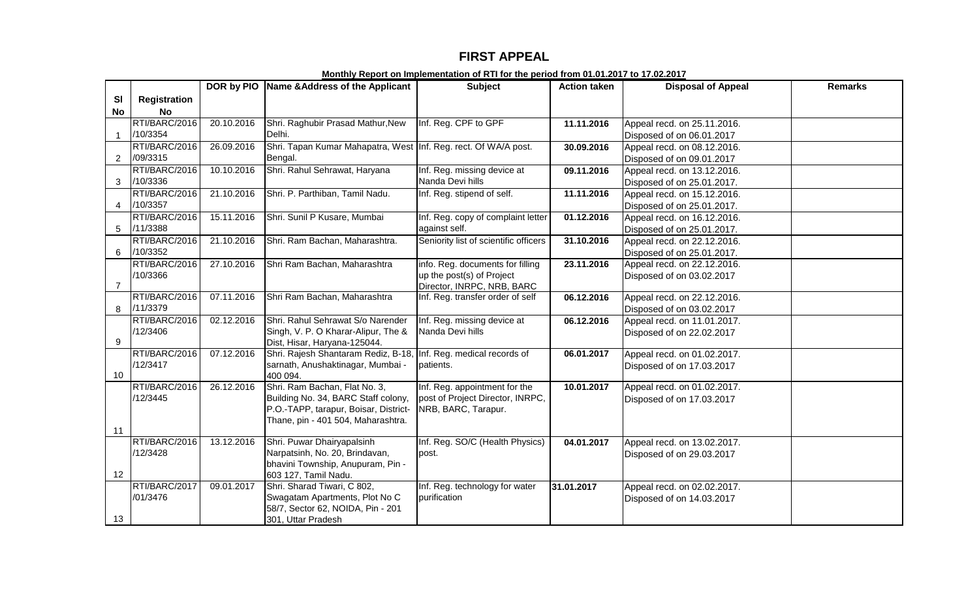## **FIRST APPEAL**

|                  |                           |            | DOR by PIO Name & Address of the Applicant                       | <b>Subject</b>                           | <b>Action taken</b> | <b>Disposal of Appeal</b>                                | <b>Remarks</b> |
|------------------|---------------------------|------------|------------------------------------------------------------------|------------------------------------------|---------------------|----------------------------------------------------------|----------------|
| SI               | <b>Registration</b>       |            |                                                                  |                                          |                     |                                                          |                |
| <b>No</b>        | <b>No</b>                 |            |                                                                  |                                          |                     |                                                          |                |
|                  | RTI/BARC/2016             | 20.10.2016 | Shri. Raghubir Prasad Mathur, New                                | Inf. Reg. CPF to GPF                     | 11.11.2016          | Appeal recd. on 25.11.2016.                              |                |
| $\mathbf 1$      | /10/3354                  |            | Delhi.                                                           |                                          |                     | Disposed of on 06.01.2017                                |                |
|                  | RTI/BARC/2016             | 26.09.2016 | Shri. Tapan Kumar Mahapatra, West Inf. Reg. rect. Of WA/A post.  |                                          | 30.09.2016          | Appeal recd. on 08.12.2016.                              |                |
| 2                | /09/3315                  |            | Bengal.                                                          |                                          |                     | Disposed of on 09.01.2017                                |                |
|                  | RTI/BARC/2016             | 10.10.2016 | Shri. Rahul Sehrawat, Haryana                                    | Inf. Reg. missing device at              | 09.11.2016          | Appeal recd. on 13.12.2016.                              |                |
| 3                | /10/3336                  |            |                                                                  | Nanda Devi hills                         |                     | Disposed of on 25.01.2017.                               |                |
|                  | RTI/BARC/2016             | 21.10.2016 | Shri. P. Parthiban, Tamil Nadu.                                  | Inf. Reg. stipend of self.               | 11.11.2016          | Appeal recd. on 15.12.2016.                              |                |
| 4                | /10/3357                  |            |                                                                  |                                          |                     | Disposed of on 25.01.2017.                               |                |
|                  | RTI/BARC/2016             | 15.11.2016 | Shri. Sunil P Kusare, Mumbai                                     | Inf. Reg. copy of complaint letter       | 01.12.2016          | Appeal recd. on 16.12.2016.                              |                |
| 5                | /11/3388                  |            |                                                                  | against self.                            |                     | Disposed of on 25.01.2017.                               |                |
|                  | RTI/BARC/2016             | 21.10.2016 | Shri. Ram Bachan, Maharashtra.                                   | Seniority list of scientific officers    | 31.10.2016          | Appeal recd. on 22.12.2016.                              |                |
| 6                | /10/3352                  |            |                                                                  |                                          |                     | Disposed of on 25.01.2017.                               |                |
|                  | RTI/BARC/2016             | 27.10.2016 | Shri Ram Bachan, Maharashtra                                     | info. Reg. documents for filling         | 23.11.2016          | Appeal recd. on 22.12.2016.                              |                |
|                  | /10/3366                  |            |                                                                  | up the post(s) of Project                |                     | Disposed of on 03.02.2017                                |                |
| $\overline{7}$   |                           |            |                                                                  | Director, INRPC, NRB, BARC               |                     |                                                          |                |
|                  | RTI/BARC/2016<br>/11/3379 | 07.11.2016 | Shri Ram Bachan, Maharashtra                                     | Inf. Reg. transfer order of self         | 06.12.2016          | Appeal recd. on 22.12.2016.                              |                |
| 8                | RTI/BARC/2016             | 02.12.2016 | Shri. Rahul Sehrawat S/o Narender                                | Inf. Reg. missing device at              | 06.12.2016          | Disposed of on 03.02.2017                                |                |
|                  | /12/3406                  |            | Singh, V. P. O Kharar-Alipur, The &                              | Nanda Devi hills                         |                     | Appeal recd. on 11.01.2017.<br>Disposed of on 22.02.2017 |                |
| $\boldsymbol{9}$ |                           |            | Dist, Hisar, Haryana-125044.                                     |                                          |                     |                                                          |                |
|                  | RTI/BARC/2016             | 07.12.2016 | Shri. Rajesh Shantaram Rediz, B-18, Inf. Reg. medical records of |                                          | 06.01.2017          | Appeal recd. on 01.02.2017.                              |                |
|                  | /12/3417                  |            | sarnath, Anushaktinagar, Mumbai -                                | patients.                                |                     | Disposed of on 17.03.2017                                |                |
| 10               |                           |            | 400 094.                                                         |                                          |                     |                                                          |                |
|                  | RTI/BARC/2016             | 26.12.2016 | Shri. Ram Bachan, Flat No. 3,                                    | Inf. Reg. appointment for the            | 10.01.2017          | Appeal recd. on 01.02.2017.                              |                |
|                  | /12/3445                  |            | Building No. 34, BARC Staff colony,                              | post of Project Director, INRPC,         |                     | Disposed of on 17.03.2017                                |                |
|                  |                           |            | P.O.-TAPP, tarapur, Boisar, District-                            | NRB, BARC, Tarapur.                      |                     |                                                          |                |
|                  |                           |            | Thane, pin - 401 504, Maharashtra.                               |                                          |                     |                                                          |                |
| 11               | RTI/BARC/2016             |            |                                                                  |                                          |                     |                                                          |                |
|                  | /12/3428                  | 13.12.2016 | Shri. Puwar Dhairyapalsinh<br>Narpatsinh, No. 20, Brindavan,     | Inf. Reg. SO/C (Health Physics)<br>post. | 04.01.2017          | Appeal recd. on 13.02.2017.                              |                |
|                  |                           |            | bhavini Township, Anupuram, Pin -                                |                                          |                     | Disposed of on 29.03.2017                                |                |
| 12               |                           |            | 603 127, Tamil Nadu.                                             |                                          |                     |                                                          |                |
|                  | RTI/BARC/2017             | 09.01.2017 | Shri. Sharad Tiwari, C 802,                                      | Inf. Reg. technology for water           | 31.01.2017          | Appeal recd. on 02.02.2017.                              |                |
|                  | /01/3476                  |            | Swagatam Apartments, Plot No C                                   | purification                             |                     | Disposed of on 14.03.2017                                |                |
|                  |                           |            | 58/7, Sector 62, NOIDA, Pin - 201                                |                                          |                     |                                                          |                |
| 13               |                           |            | 301, Uttar Pradesh                                               |                                          |                     |                                                          |                |

**Monthly Report on Implementation of RTI for the period from 01.01.2017 to 17.02.2017**